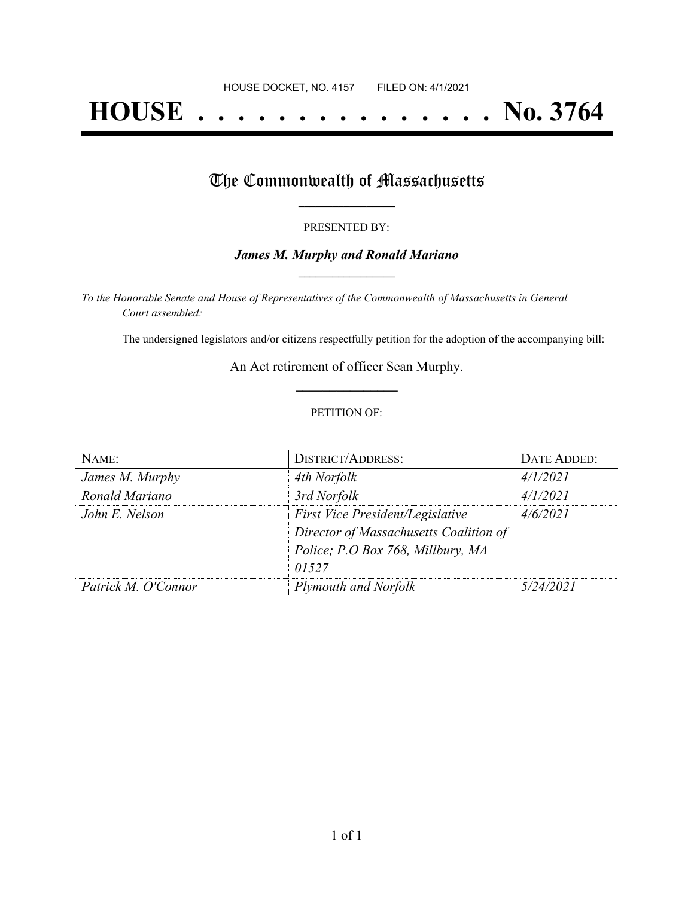# **HOUSE . . . . . . . . . . . . . . . No. 3764**

## The Commonwealth of Massachusetts

#### PRESENTED BY:

#### *James M. Murphy and Ronald Mariano* **\_\_\_\_\_\_\_\_\_\_\_\_\_\_\_\_\_**

*To the Honorable Senate and House of Representatives of the Commonwealth of Massachusetts in General Court assembled:*

The undersigned legislators and/or citizens respectfully petition for the adoption of the accompanying bill:

An Act retirement of officer Sean Murphy. **\_\_\_\_\_\_\_\_\_\_\_\_\_\_\_**

#### PETITION OF:

| NAME:               | <b>DISTRICT/ADDRESS:</b>               | DATE ADDED: |
|---------------------|----------------------------------------|-------------|
| James M. Murphy     | 4th Norfolk                            | 4/1/2021    |
| Ronald Mariano      | 3rd Norfolk                            | 4/1/2021    |
| John E. Nelson      | First Vice President/Legislative       | 4/6/2021    |
|                     | Director of Massachusetts Coalition of |             |
|                     | Police; P.O Box 768, Millbury, MA      |             |
|                     | 01527                                  |             |
| Patrick M. O'Connor | <b>Plymouth and Norfolk</b>            | 5/24/2021   |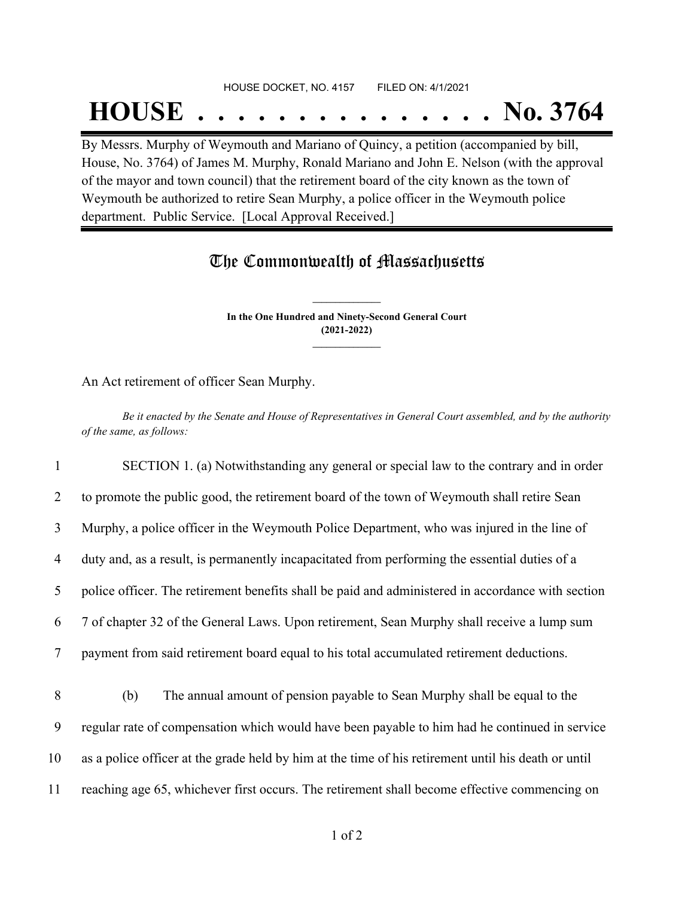#### HOUSE DOCKET, NO. 4157 FILED ON: 4/1/2021

## **HOUSE . . . . . . . . . . . . . . . No. 3764**

By Messrs. Murphy of Weymouth and Mariano of Quincy, a petition (accompanied by bill, House, No. 3764) of James M. Murphy, Ronald Mariano and John E. Nelson (with the approval of the mayor and town council) that the retirement board of the city known as the town of Weymouth be authorized to retire Sean Murphy, a police officer in the Weymouth police department. Public Service. [Local Approval Received.]

### The Commonwealth of Massachusetts

**In the One Hundred and Ninety-Second General Court (2021-2022) \_\_\_\_\_\_\_\_\_\_\_\_\_\_\_**

**\_\_\_\_\_\_\_\_\_\_\_\_\_\_\_**

An Act retirement of officer Sean Murphy.

Be it enacted by the Senate and House of Representatives in General Court assembled, and by the authority *of the same, as follows:*

 SECTION 1. (a) Notwithstanding any general or special law to the contrary and in order to promote the public good, the retirement board of the town of Weymouth shall retire Sean Murphy, a police officer in the Weymouth Police Department, who was injured in the line of duty and, as a result, is permanently incapacitated from performing the essential duties of a police officer. The retirement benefits shall be paid and administered in accordance with section 7 of chapter 32 of the General Laws. Upon retirement, Sean Murphy shall receive a lump sum payment from said retirement board equal to his total accumulated retirement deductions. (b) The annual amount of pension payable to Sean Murphy shall be equal to the regular rate of compensation which would have been payable to him had he continued in service

10 as a police officer at the grade held by him at the time of his retirement until his death or until

11 reaching age 65, whichever first occurs. The retirement shall become effective commencing on